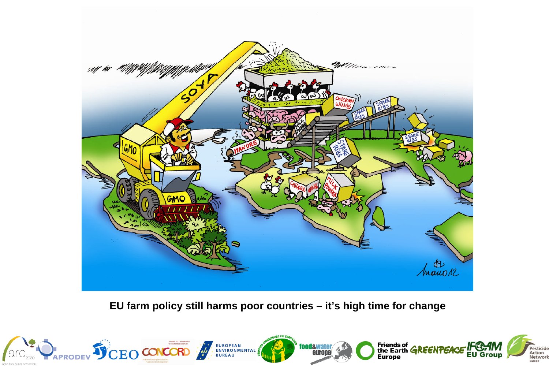

**EU farm policy still harms poor countries – it's high time for change**